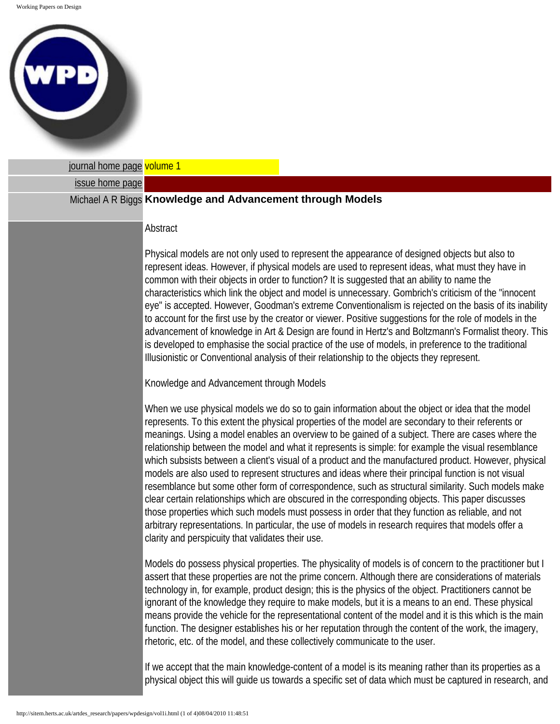Working Papers on Design



| journal home page volume 1 |                                                                                                                                                                                                                                                                                                                                                                                                                                                                                                                                                                                                                                                                                                                                                                                                                                                                                                                                                                                                                                                                                                                |
|----------------------------|----------------------------------------------------------------------------------------------------------------------------------------------------------------------------------------------------------------------------------------------------------------------------------------------------------------------------------------------------------------------------------------------------------------------------------------------------------------------------------------------------------------------------------------------------------------------------------------------------------------------------------------------------------------------------------------------------------------------------------------------------------------------------------------------------------------------------------------------------------------------------------------------------------------------------------------------------------------------------------------------------------------------------------------------------------------------------------------------------------------|
| issue home page            |                                                                                                                                                                                                                                                                                                                                                                                                                                                                                                                                                                                                                                                                                                                                                                                                                                                                                                                                                                                                                                                                                                                |
|                            | Michael A R Biggs Knowledge and Advancement through Models                                                                                                                                                                                                                                                                                                                                                                                                                                                                                                                                                                                                                                                                                                                                                                                                                                                                                                                                                                                                                                                     |
|                            | Abstract                                                                                                                                                                                                                                                                                                                                                                                                                                                                                                                                                                                                                                                                                                                                                                                                                                                                                                                                                                                                                                                                                                       |
|                            | Physical models are not only used to represent the appearance of designed objects but also to<br>represent ideas. However, if physical models are used to represent ideas, what must they have in<br>common with their objects in order to function? It is suggested that an ability to name the<br>characteristics which link the object and model is unnecessary. Gombrich's criticism of the "innocent<br>eye" is accepted. However, Goodman's extreme Conventionalism is rejected on the basis of its inability<br>to account for the first use by the creator or viewer. Positive suggestions for the role of models in the<br>advancement of knowledge in Art & Design are found in Hertz's and Boltzmann's Formalist theory. This<br>is developed to emphasise the social practice of the use of models, in preference to the traditional<br>Illusionistic or Conventional analysis of their relationship to the objects they represent.                                                                                                                                                                |
|                            | Knowledge and Advancement through Models                                                                                                                                                                                                                                                                                                                                                                                                                                                                                                                                                                                                                                                                                                                                                                                                                                                                                                                                                                                                                                                                       |
|                            | When we use physical models we do so to gain information about the object or idea that the model<br>represents. To this extent the physical properties of the model are secondary to their referents or<br>meanings. Using a model enables an overview to be gained of a subject. There are cases where the<br>relationship between the model and what it represents is simple: for example the visual resemblance<br>which subsists between a client's visual of a product and the manufactured product. However, physical<br>models are also used to represent structures and ideas where their principal function is not visual<br>resemblance but some other form of correspondence, such as structural similarity. Such models make<br>clear certain relationships which are obscured in the corresponding objects. This paper discusses<br>those properties which such models must possess in order that they function as reliable, and not<br>arbitrary representations. In particular, the use of models in research requires that models offer a<br>clarity and perspicuity that validates their use. |
|                            | Models do possess physical properties. The physicality of models is of concern to the practitioner but I<br>assert that these properties are not the prime concern. Although there are considerations of materials<br>technology in, for example, product design; this is the physics of the object. Practitioners cannot be<br>ignorant of the knowledge they require to make models, but it is a means to an end. These physical<br>means provide the vehicle for the representational content of the model and it is this which is the main<br>function. The designer establishes his or her reputation through the content of the work, the imagery,<br>rhetoric, etc. of the model, and these collectively communicate to the user.                                                                                                                                                                                                                                                                                                                                                                       |
|                            | If we accept that the main knowledge-content of a model is its meaning rather than its properties as a<br>physical object this will guide us towards a specific set of data which must be captured in research, and                                                                                                                                                                                                                                                                                                                                                                                                                                                                                                                                                                                                                                                                                                                                                                                                                                                                                            |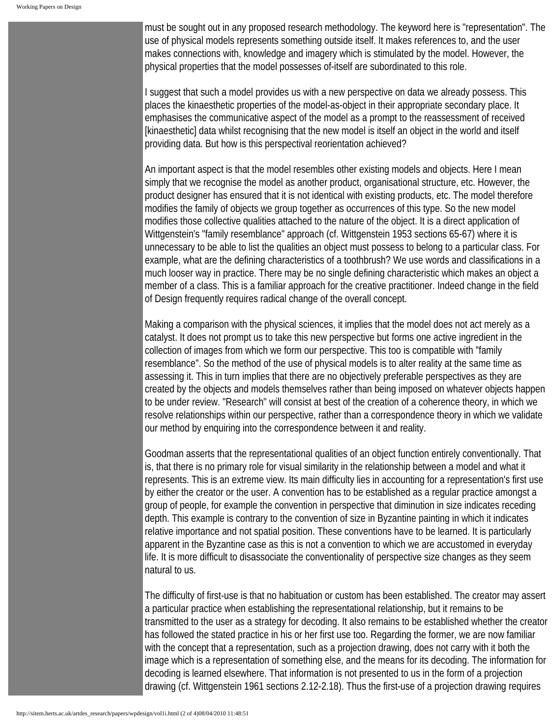must be sought out in any proposed research methodology. The keyword here is "representation". The use of physical models represents something outside itself. It makes references to, and the user makes connections with, knowledge and imagery which is stimulated by the model. However, the physical properties that the model possesses of-itself are subordinated to this role.

I suggest that such a model provides us with a new perspective on data we already possess. This places the kinaesthetic properties of the model-as-object in their appropriate secondary place. It emphasises the communicative aspect of the model as a prompt to the reassessment of received [kinaesthetic] data whilst recognising that the new model is itself an object in the world and itself providing data. But how is this perspectival reorientation achieved?

An important aspect is that the model resembles other existing models and objects. Here I mean simply that we recognise the model as another product, organisational structure, etc. However, the product designer has ensured that it is not identical with existing products, etc. The model therefore modifies the family of objects we group together as occurrences of this type. So the new model modifies those collective qualities attached to the nature of the object. It is a direct application of Wittgenstein's "family resemblance" approach (cf. Wittgenstein 1953 sections 65-67) where it is unnecessary to be able to list the qualities an object must possess to belong to a particular class. For example, what are the defining characteristics of a toothbrush? We use words and classifications in a much looser way in practice. There may be no single defining characteristic which makes an object a member of a class. This is a familiar approach for the creative practitioner. Indeed change in the field of Design frequently requires radical change of the overall concept.

Making a comparison with the physical sciences, it implies that the model does not act merely as a catalyst. It does not prompt us to take this new perspective but forms one active ingredient in the collection of images from which we form our perspective. This too is compatible with "family resemblance". So the method of the use of physical models is to alter reality at the same time as assessing it. This in turn implies that there are no objectively preferable perspectives as they are created by the objects and models themselves rather than being imposed on whatever objects happen to be under review. "Research" will consist at best of the creation of a coherence theory, in which we resolve relationships within our perspective, rather than a correspondence theory in which we validate our method by enquiring into the correspondence between it and reality.

Goodman asserts that the representational qualities of an object function entirely conventionally. That is, that there is no primary role for visual similarity in the relationship between a model and what it represents. This is an extreme view. Its main difficulty lies in accounting for a representation's first use by either the creator or the user. A convention has to be established as a regular practice amongst a group of people, for example the convention in perspective that diminution in size indicates receding depth. This example is contrary to the convention of size in Byzantine painting in which it indicates relative importance and not spatial position. These conventions have to be learned. It is particularly apparent in the Byzantine case as this is not a convention to which we are accustomed in everyday life. It is more difficult to disassociate the conventionality of perspective size changes as they seem natural to us.

The difficulty of first-use is that no habituation or custom has been established. The creator may assert a particular practice when establishing the representational relationship, but it remains to be transmitted to the user as a strategy for decoding. It also remains to be established whether the creator has followed the stated practice in his or her first use too. Regarding the former, we are now familiar with the concept that a representation, such as a projection drawing, does not carry with it both the image which is a representation of something else, and the means for its decoding. The information for decoding is learned elsewhere. That information is not presented to us in the form of a projection drawing (cf. Wittgenstein 1961 sections 2.12-2.18). Thus the first-use of a projection drawing requires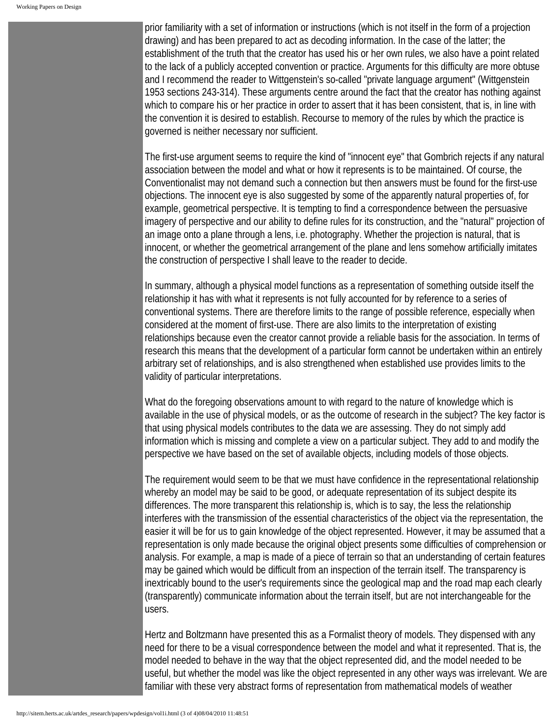prior familiarity with a set of information or instructions (which is not itself in the form of a projection drawing) and has been prepared to act as decoding information. In the case of the latter; the establishment of the truth that the creator has used his or her own rules, we also have a point related to the lack of a publicly accepted convention or practice. Arguments for this difficulty are more obtuse and I recommend the reader to Wittgenstein's so-called "private language argument" (Wittgenstein 1953 sections 243-314). These arguments centre around the fact that the creator has nothing against which to compare his or her practice in order to assert that it has been consistent, that is, in line with the convention it is desired to establish. Recourse to memory of the rules by which the practice is governed is neither necessary nor sufficient.

The first-use argument seems to require the kind of "innocent eye" that Gombrich rejects if any natural association between the model and what or how it represents is to be maintained. Of course, the Conventionalist may not demand such a connection but then answers must be found for the first-use objections. The innocent eye is also suggested by some of the apparently natural properties of, for example, geometrical perspective. It is tempting to find a correspondence between the persuasive imagery of perspective and our ability to define rules for its construction, and the "natural" projection of an image onto a plane through a lens, i.e. photography. Whether the projection is natural, that is innocent, or whether the geometrical arrangement of the plane and lens somehow artificially imitates the construction of perspective I shall leave to the reader to decide.

In summary, although a physical model functions as a representation of something outside itself the relationship it has with what it represents is not fully accounted for by reference to a series of conventional systems. There are therefore limits to the range of possible reference, especially when considered at the moment of first-use. There are also limits to the interpretation of existing relationships because even the creator cannot provide a reliable basis for the association. In terms of research this means that the development of a particular form cannot be undertaken within an entirely arbitrary set of relationships, and is also strengthened when established use provides limits to the validity of particular interpretations.

What do the foregoing observations amount to with regard to the nature of knowledge which is available in the use of physical models, or as the outcome of research in the subject? The key factor is that using physical models contributes to the data we are assessing. They do not simply add information which is missing and complete a view on a particular subject. They add to and modify the perspective we have based on the set of available objects, including models of those objects.

The requirement would seem to be that we must have confidence in the representational relationship whereby an model may be said to be good, or adequate representation of its subject despite its differences. The more transparent this relationship is, which is to say, the less the relationship interferes with the transmission of the essential characteristics of the object via the representation, the easier it will be for us to gain knowledge of the object represented. However, it may be assumed that a representation is only made because the original object presents some difficulties of comprehension or analysis. For example, a map is made of a piece of terrain so that an understanding of certain features may be gained which would be difficult from an inspection of the terrain itself. The transparency is inextricably bound to the user's requirements since the geological map and the road map each clearly (transparently) communicate information about the terrain itself, but are not interchangeable for the users.

Hertz and Boltzmann have presented this as a Formalist theory of models. They dispensed with any need for there to be a visual correspondence between the model and what it represented. That is, the model needed to behave in the way that the object represented did, and the model needed to be useful, but whether the model was like the object represented in any other ways was irrelevant. We are familiar with these very abstract forms of representation from mathematical models of weather